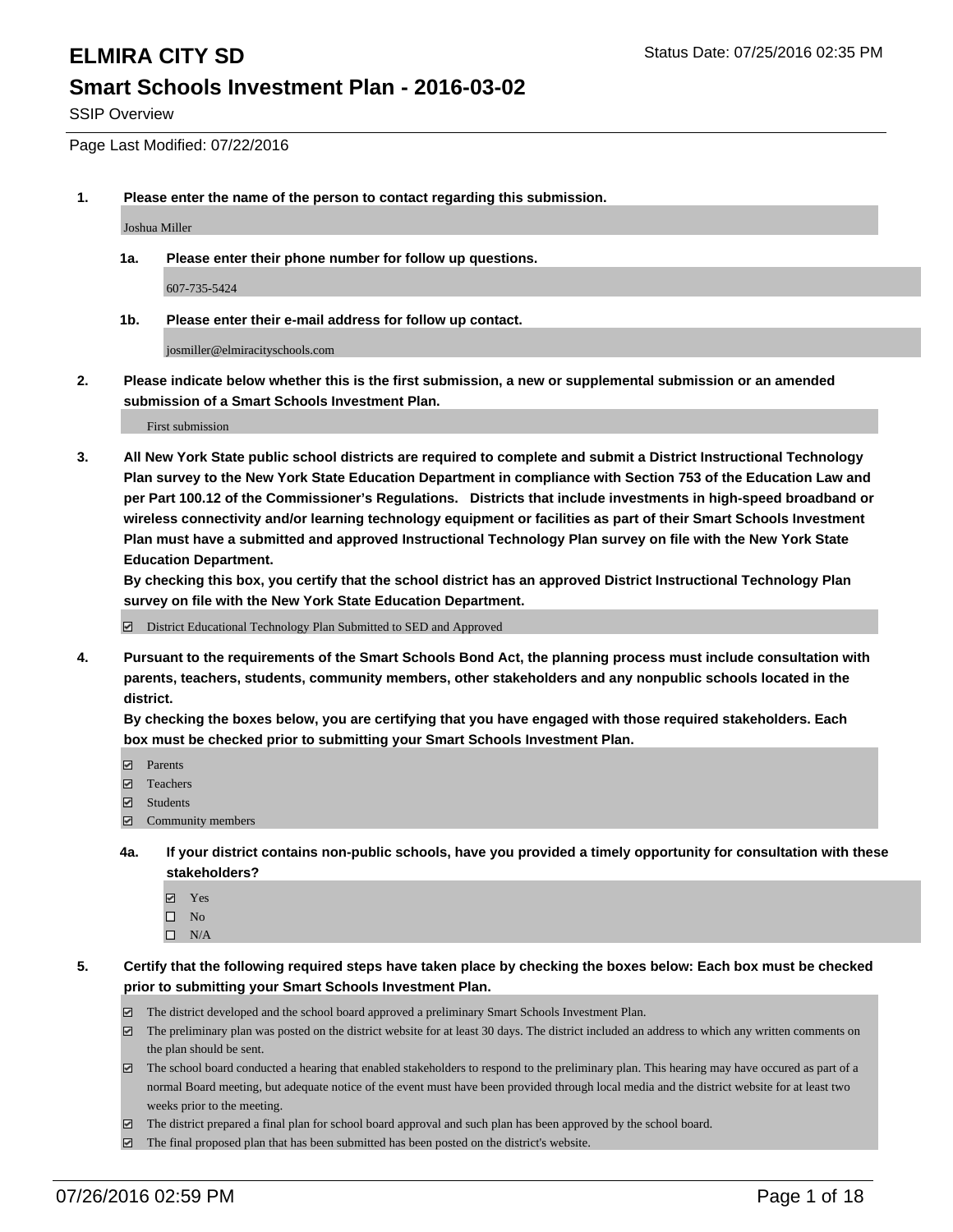SSIP Overview

Page Last Modified: 07/22/2016

**1. Please enter the name of the person to contact regarding this submission.**

Joshua Miller

**1a. Please enter their phone number for follow up questions.**

607-735-5424

**1b. Please enter their e-mail address for follow up contact.**

josmiller@elmiracityschools.com

**2. Please indicate below whether this is the first submission, a new or supplemental submission or an amended submission of a Smart Schools Investment Plan.**

First submission

**3. All New York State public school districts are required to complete and submit a District Instructional Technology Plan survey to the New York State Education Department in compliance with Section 753 of the Education Law and per Part 100.12 of the Commissioner's Regulations. Districts that include investments in high-speed broadband or wireless connectivity and/or learning technology equipment or facilities as part of their Smart Schools Investment Plan must have a submitted and approved Instructional Technology Plan survey on file with the New York State Education Department.** 

**By checking this box, you certify that the school district has an approved District Instructional Technology Plan survey on file with the New York State Education Department.**

District Educational Technology Plan Submitted to SED and Approved

**4. Pursuant to the requirements of the Smart Schools Bond Act, the planning process must include consultation with parents, teachers, students, community members, other stakeholders and any nonpublic schools located in the district.** 

**By checking the boxes below, you are certifying that you have engaged with those required stakeholders. Each box must be checked prior to submitting your Smart Schools Investment Plan.**

- **Parents**
- Teachers
- $\blacksquare$  Students
- Community members
- **4a. If your district contains non-public schools, have you provided a timely opportunity for consultation with these stakeholders?**
	- Yes  $\square$  No
	- $\square$  N/A
- **5. Certify that the following required steps have taken place by checking the boxes below: Each box must be checked prior to submitting your Smart Schools Investment Plan.**
	- The district developed and the school board approved a preliminary Smart Schools Investment Plan.
	- $\boxdot$  The preliminary plan was posted on the district website for at least 30 days. The district included an address to which any written comments on the plan should be sent.
	- $\Box$  The school board conducted a hearing that enabled stakeholders to respond to the preliminary plan. This hearing may have occured as part of a normal Board meeting, but adequate notice of the event must have been provided through local media and the district website for at least two weeks prior to the meeting.
	- The district prepared a final plan for school board approval and such plan has been approved by the school board.
	- $\boxdot$  The final proposed plan that has been submitted has been posted on the district's website.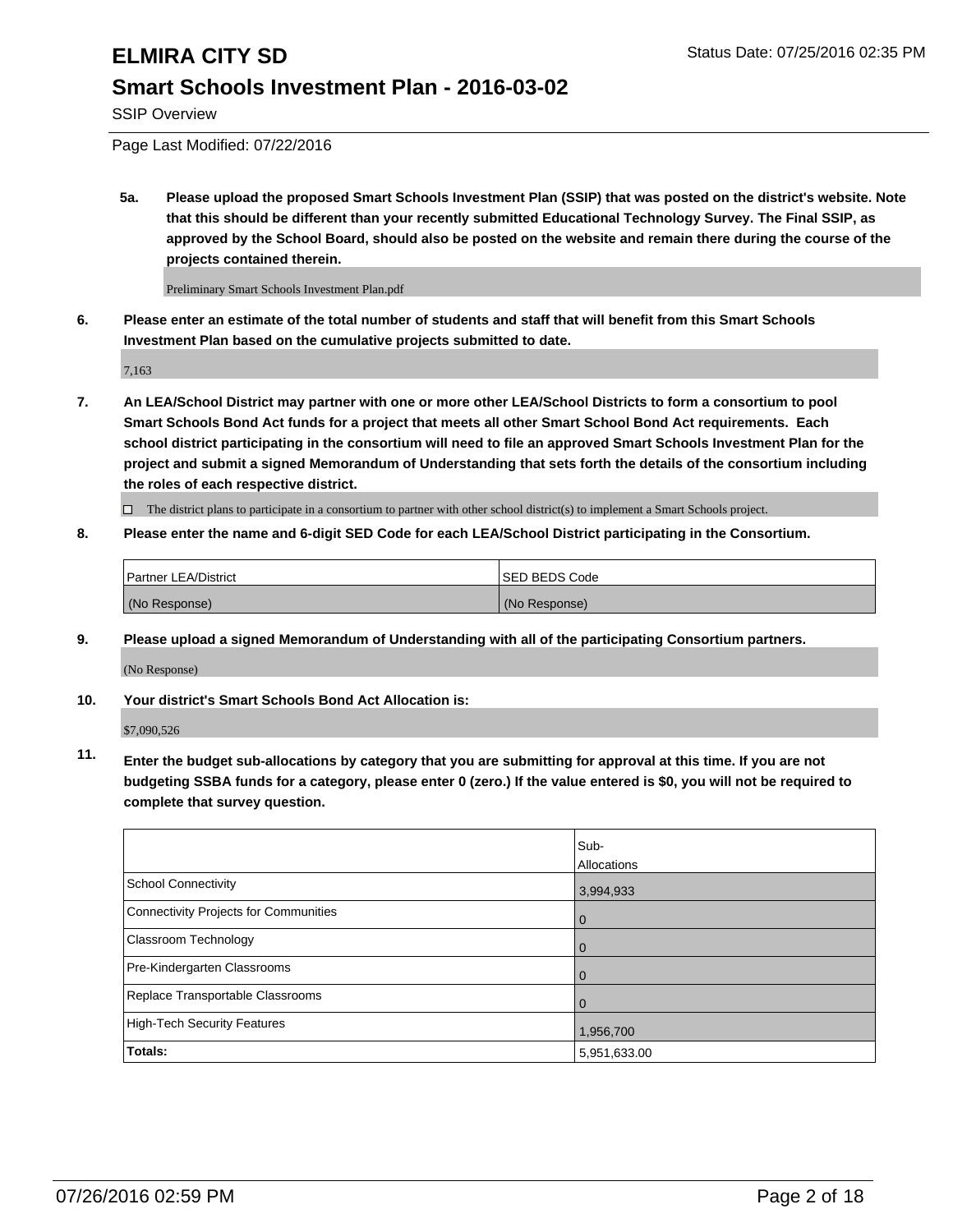SSIP Overview

Page Last Modified: 07/22/2016

**5a. Please upload the proposed Smart Schools Investment Plan (SSIP) that was posted on the district's website. Note that this should be different than your recently submitted Educational Technology Survey. The Final SSIP, as approved by the School Board, should also be posted on the website and remain there during the course of the projects contained therein.**

Preliminary Smart Schools Investment Plan.pdf

**6. Please enter an estimate of the total number of students and staff that will benefit from this Smart Schools Investment Plan based on the cumulative projects submitted to date.**

7,163

**7. An LEA/School District may partner with one or more other LEA/School Districts to form a consortium to pool Smart Schools Bond Act funds for a project that meets all other Smart School Bond Act requirements. Each school district participating in the consortium will need to file an approved Smart Schools Investment Plan for the project and submit a signed Memorandum of Understanding that sets forth the details of the consortium including the roles of each respective district.**

 $\Box$  The district plans to participate in a consortium to partner with other school district(s) to implement a Smart Schools project.

**8. Please enter the name and 6-digit SED Code for each LEA/School District participating in the Consortium.**

| <b>Partner LEA/District</b> | ISED BEDS Code |
|-----------------------------|----------------|
| (No Response)               | (No Response)  |

**9. Please upload a signed Memorandum of Understanding with all of the participating Consortium partners.**

(No Response)

**10. Your district's Smart Schools Bond Act Allocation is:**

\$7,090,526

**11. Enter the budget sub-allocations by category that you are submitting for approval at this time. If you are not budgeting SSBA funds for a category, please enter 0 (zero.) If the value entered is \$0, you will not be required to complete that survey question.**

|                                       | Sub-         |
|---------------------------------------|--------------|
|                                       | Allocations  |
| <b>School Connectivity</b>            | 3,994,933    |
| Connectivity Projects for Communities | $\Omega$     |
| Classroom Technology                  | 0            |
| Pre-Kindergarten Classrooms           | $\Omega$     |
| Replace Transportable Classrooms      | $\Omega$     |
| High-Tech Security Features           | 1,956,700    |
| <b>Totals:</b>                        | 5,951,633.00 |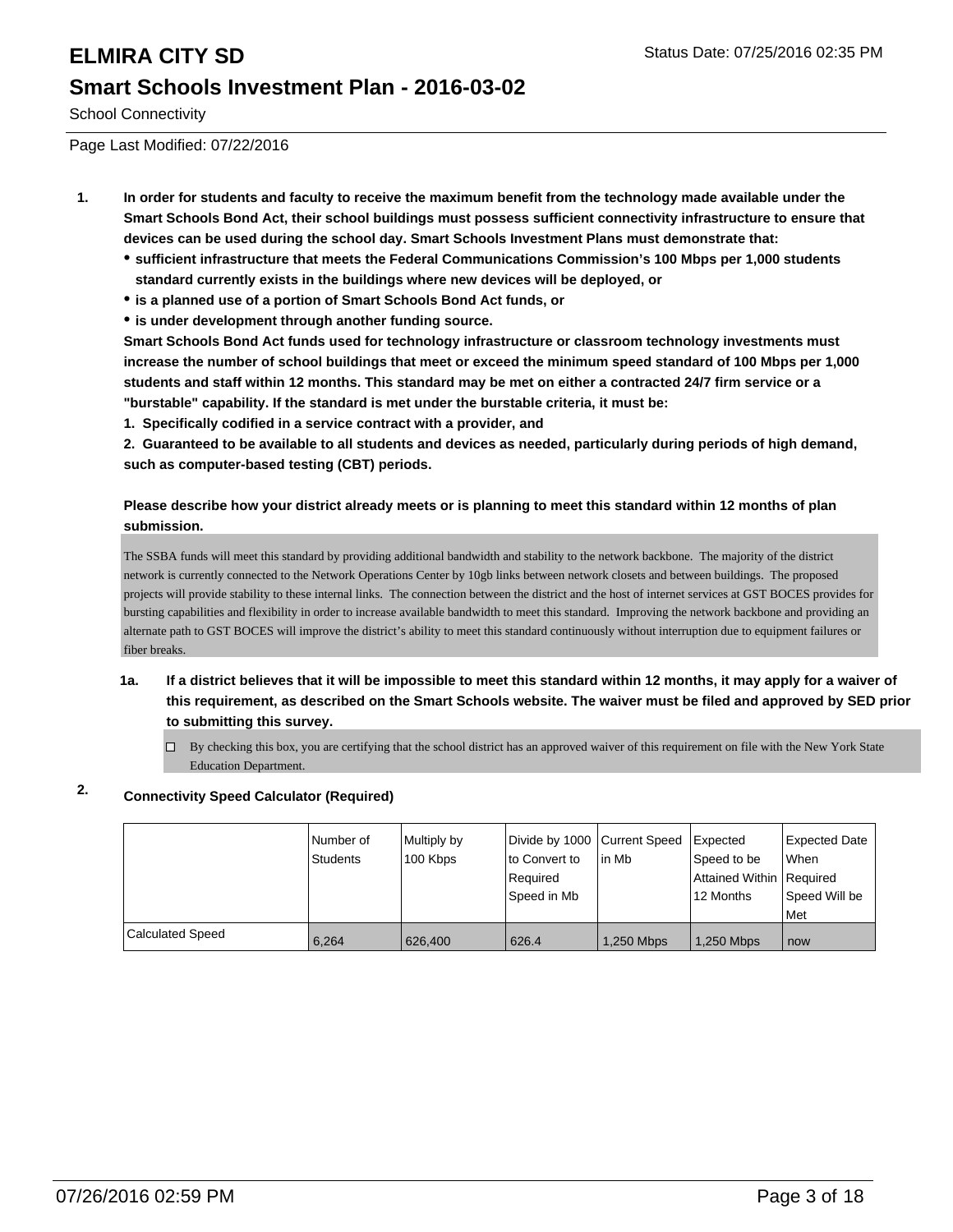School Connectivity

Page Last Modified: 07/22/2016

- **1. In order for students and faculty to receive the maximum benefit from the technology made available under the Smart Schools Bond Act, their school buildings must possess sufficient connectivity infrastructure to ensure that devices can be used during the school day. Smart Schools Investment Plans must demonstrate that:**
	- **sufficient infrastructure that meets the Federal Communications Commission's 100 Mbps per 1,000 students standard currently exists in the buildings where new devices will be deployed, or**
	- **is a planned use of a portion of Smart Schools Bond Act funds, or**
	- **is under development through another funding source.**

**Smart Schools Bond Act funds used for technology infrastructure or classroom technology investments must increase the number of school buildings that meet or exceed the minimum speed standard of 100 Mbps per 1,000 students and staff within 12 months. This standard may be met on either a contracted 24/7 firm service or a "burstable" capability. If the standard is met under the burstable criteria, it must be:**

**1. Specifically codified in a service contract with a provider, and**

**2. Guaranteed to be available to all students and devices as needed, particularly during periods of high demand, such as computer-based testing (CBT) periods.**

### **Please describe how your district already meets or is planning to meet this standard within 12 months of plan submission.**

The SSBA funds will meet this standard by providing additional bandwidth and stability to the network backbone. The majority of the district network is currently connected to the Network Operations Center by 10gb links between network closets and between buildings. The proposed projects will provide stability to these internal links. The connection between the district and the host of internet services at GST BOCES provides for bursting capabilities and flexibility in order to increase available bandwidth to meet this standard. Improving the network backbone and providing an alternate path to GST BOCES will improve the district's ability to meet this standard continuously without interruption due to equipment failures or fiber breaks.

- **1a. If a district believes that it will be impossible to meet this standard within 12 months, it may apply for a waiver of this requirement, as described on the Smart Schools website. The waiver must be filed and approved by SED prior to submitting this survey.**
	- $\Box$  By checking this box, you are certifying that the school district has an approved waiver of this requirement on file with the New York State Education Department.

## **2. Connectivity Speed Calculator (Required)**

|                         | I Number of<br>Students | Multiply by<br>100 Kbps | Divide by 1000 Current Speed<br>to Convert to<br>Required<br>Speed in Mb | l in Mb    | <b>I</b> Expected<br>Speed to be<br>Attained Within Required<br>12 Months | <b>Expected Date</b><br>l When<br>Speed Will be<br>l Met |
|-------------------------|-------------------------|-------------------------|--------------------------------------------------------------------------|------------|---------------------------------------------------------------------------|----------------------------------------------------------|
| <b>Calculated Speed</b> | 6.264                   | 626,400                 | 626.4                                                                    | 1,250 Mbps | 1,250 Mbps                                                                | now                                                      |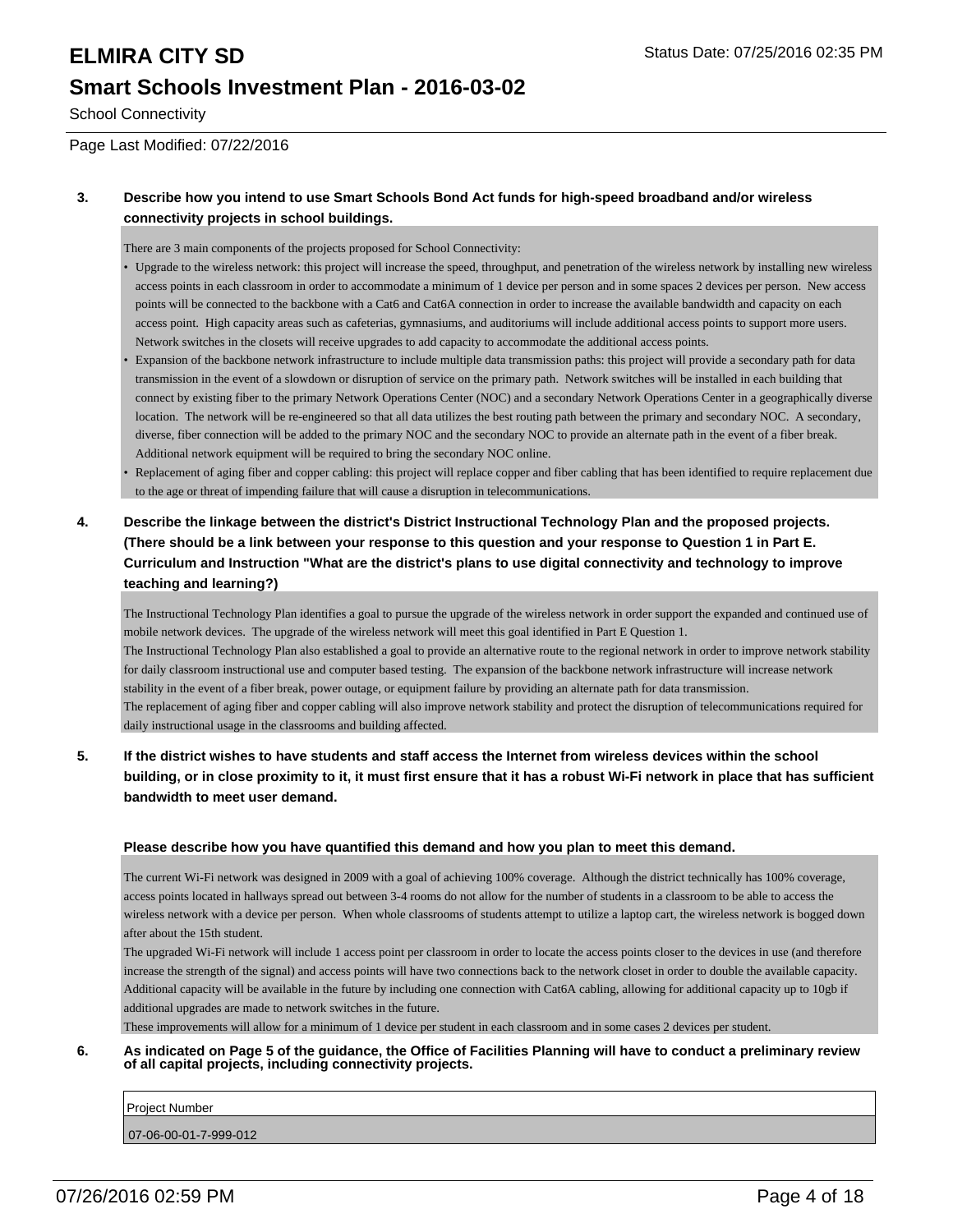School Connectivity

Page Last Modified: 07/22/2016

### **3. Describe how you intend to use Smart Schools Bond Act funds for high-speed broadband and/or wireless connectivity projects in school buildings.**

There are 3 main components of the projects proposed for School Connectivity:

- Upgrade to the wireless network: this project will increase the speed, throughput, and penetration of the wireless network by installing new wireless access points in each classroom in order to accommodate a minimum of 1 device per person and in some spaces 2 devices per person. New access points will be connected to the backbone with a Cat6 and Cat6A connection in order to increase the available bandwidth and capacity on each access point. High capacity areas such as cafeterias, gymnasiums, and auditoriums will include additional access points to support more users. Network switches in the closets will receive upgrades to add capacity to accommodate the additional access points.
- Expansion of the backbone network infrastructure to include multiple data transmission paths: this project will provide a secondary path for data transmission in the event of a slowdown or disruption of service on the primary path. Network switches will be installed in each building that connect by existing fiber to the primary Network Operations Center (NOC) and a secondary Network Operations Center in a geographically diverse location. The network will be re-engineered so that all data utilizes the best routing path between the primary and secondary NOC. A secondary, diverse, fiber connection will be added to the primary NOC and the secondary NOC to provide an alternate path in the event of a fiber break. Additional network equipment will be required to bring the secondary NOC online. •
- Replacement of aging fiber and copper cabling: this project will replace copper and fiber cabling that has been identified to require replacement due to the age or threat of impending failure that will cause a disruption in telecommunications. •
- **4. Describe the linkage between the district's District Instructional Technology Plan and the proposed projects. (There should be a link between your response to this question and your response to Question 1 in Part E. Curriculum and Instruction "What are the district's plans to use digital connectivity and technology to improve teaching and learning?)**

The Instructional Technology Plan identifies a goal to pursue the upgrade of the wireless network in order support the expanded and continued use of mobile network devices. The upgrade of the wireless network will meet this goal identified in Part E Question 1. The Instructional Technology Plan also established a goal to provide an alternative route to the regional network in order to improve network stability for daily classroom instructional use and computer based testing. The expansion of the backbone network infrastructure will increase network stability in the event of a fiber break, power outage, or equipment failure by providing an alternate path for data transmission. The replacement of aging fiber and copper cabling will also improve network stability and protect the disruption of telecommunications required for daily instructional usage in the classrooms and building affected.

**5. If the district wishes to have students and staff access the Internet from wireless devices within the school building, or in close proximity to it, it must first ensure that it has a robust Wi-Fi network in place that has sufficient bandwidth to meet user demand.**

### **Please describe how you have quantified this demand and how you plan to meet this demand.**

The current Wi-Fi network was designed in 2009 with a goal of achieving 100% coverage. Although the district technically has 100% coverage, access points located in hallways spread out between 3-4 rooms do not allow for the number of students in a classroom to be able to access the wireless network with a device per person. When whole classrooms of students attempt to utilize a laptop cart, the wireless network is bogged down after about the 15th student.

The upgraded Wi-Fi network will include 1 access point per classroom in order to locate the access points closer to the devices in use (and therefore increase the strength of the signal) and access points will have two connections back to the network closet in order to double the available capacity. Additional capacity will be available in the future by including one connection with Cat6A cabling, allowing for additional capacity up to 10gb if additional upgrades are made to network switches in the future.

These improvements will allow for a minimum of 1 device per student in each classroom and in some cases 2 devices per student.

### **6. As indicated on Page 5 of the guidance, the Office of Facilities Planning will have to conduct a preliminary review of all capital projects, including connectivity projects.**

Project Number

07-06-00-01-7-999-012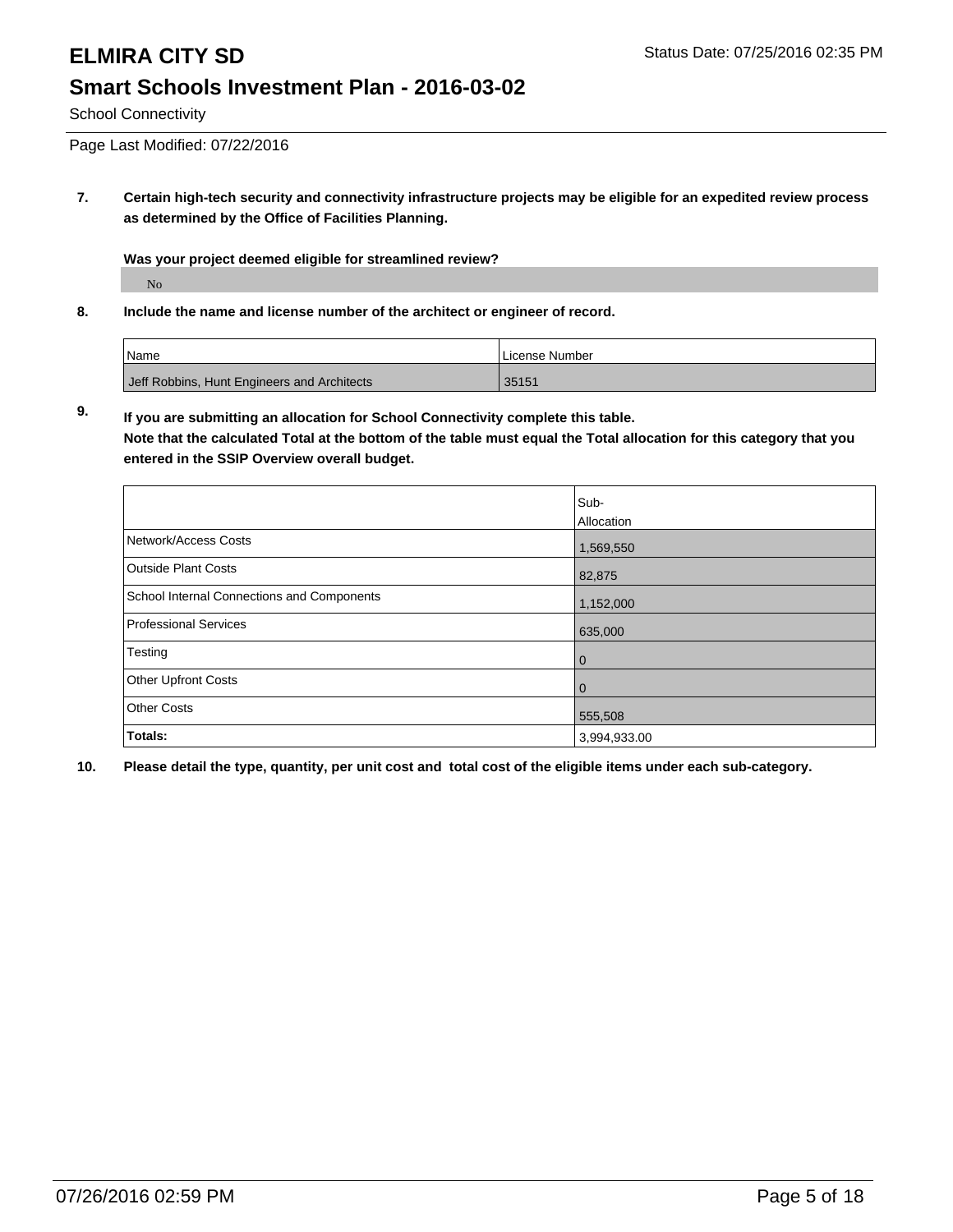School Connectivity

Page Last Modified: 07/22/2016

**7. Certain high-tech security and connectivity infrastructure projects may be eligible for an expedited review process as determined by the Office of Facilities Planning.**

**Was your project deemed eligible for streamlined review?**

No

**8. Include the name and license number of the architect or engineer of record.**

| <sup>1</sup> Name                           | <b>ILicense Number</b> |
|---------------------------------------------|------------------------|
| Jeff Robbins, Hunt Engineers and Architects | 35151                  |

**9. If you are submitting an allocation for School Connectivity complete this table. Note that the calculated Total at the bottom of the table must equal the Total allocation for this category that you entered in the SSIP Overview overall budget.** 

|                                            | Sub-           |
|--------------------------------------------|----------------|
|                                            | Allocation     |
| Network/Access Costs                       | 1,569,550      |
| <b>Outside Plant Costs</b>                 | 82,875         |
| School Internal Connections and Components | 1,152,000      |
| <b>Professional Services</b>               | 635,000        |
| Testing                                    | $\overline{0}$ |
| <b>Other Upfront Costs</b>                 | l 0            |
| <b>Other Costs</b>                         | 555,508        |
| Totals:                                    | 3,994,933.00   |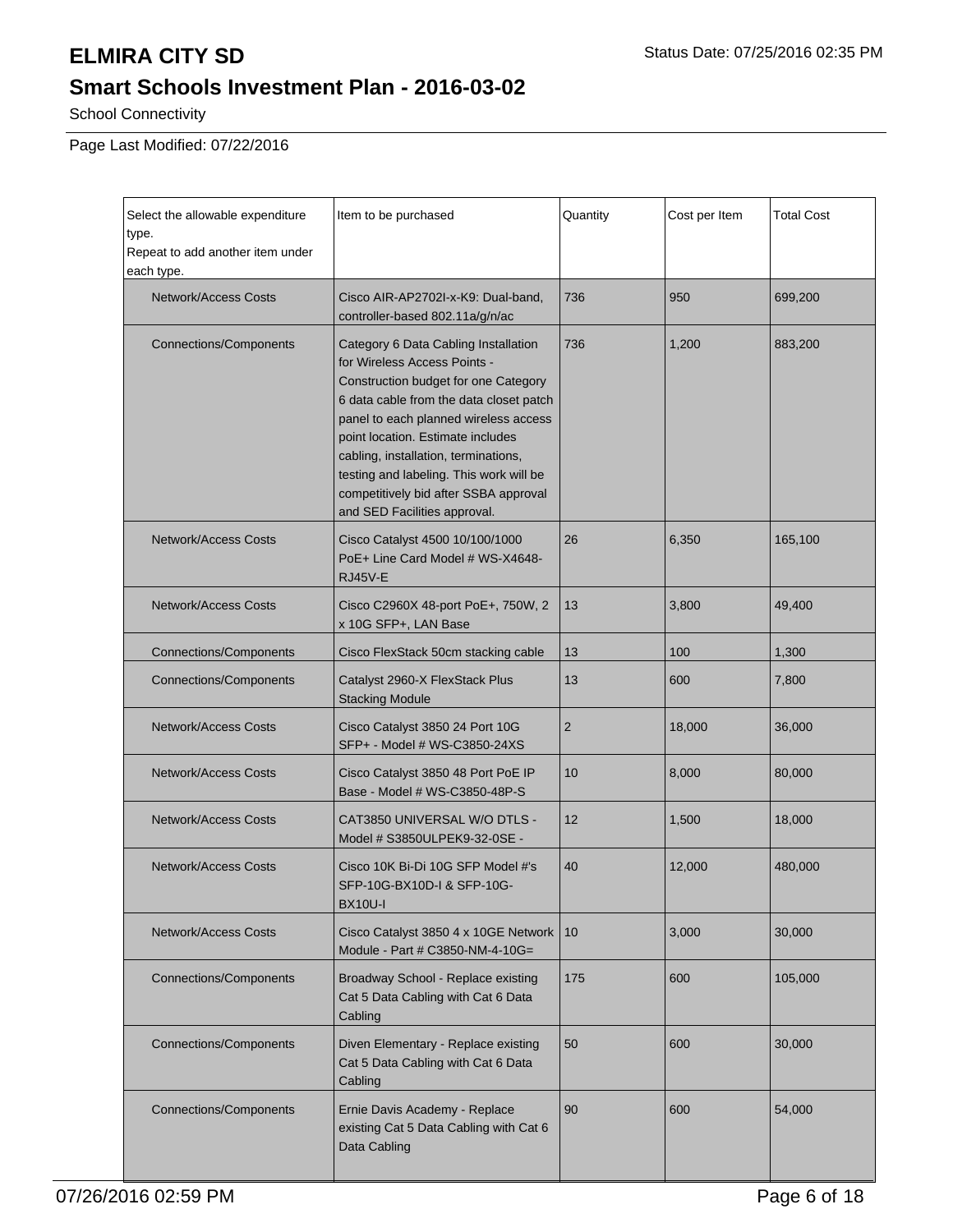# **ELMIRA CITY SD** Status Date: 07/25/2016 02:35 PM

# **Smart Schools Investment Plan - 2016-03-02**

School Connectivity

Page Last Modified: 07/22/2016

| Select the allowable expenditure<br>type.<br>Repeat to add another item under<br>each type. | Item to be purchased                                                                                                                                                                                                                                                                                                                                                                              | Quantity       | Cost per Item | <b>Total Cost</b> |
|---------------------------------------------------------------------------------------------|---------------------------------------------------------------------------------------------------------------------------------------------------------------------------------------------------------------------------------------------------------------------------------------------------------------------------------------------------------------------------------------------------|----------------|---------------|-------------------|
| <b>Network/Access Costs</b>                                                                 | Cisco AIR-AP2702I-x-K9: Dual-band.<br>controller-based 802.11a/g/n/ac                                                                                                                                                                                                                                                                                                                             | 736            | 950           | 699,200           |
| <b>Connections/Components</b>                                                               | Category 6 Data Cabling Installation<br>for Wireless Access Points -<br>Construction budget for one Category<br>6 data cable from the data closet patch<br>panel to each planned wireless access<br>point location. Estimate includes<br>cabling, installation, terminations,<br>testing and labeling. This work will be<br>competitively bid after SSBA approval<br>and SED Facilities approval. | 736            | 1,200         | 883,200           |
| <b>Network/Access Costs</b>                                                                 | Cisco Catalyst 4500 10/100/1000<br>PoE+ Line Card Model # WS-X4648-<br>RJ45V-E                                                                                                                                                                                                                                                                                                                    | 26             | 6,350         | 165,100           |
| <b>Network/Access Costs</b>                                                                 | Cisco C2960X 48-port PoE+, 750W, 2<br>x 10G SFP+, LAN Base                                                                                                                                                                                                                                                                                                                                        | 13             | 3,800         | 49,400            |
| <b>Connections/Components</b>                                                               | Cisco FlexStack 50cm stacking cable                                                                                                                                                                                                                                                                                                                                                               | 13             | 100           | 1,300             |
| <b>Connections/Components</b>                                                               | Catalyst 2960-X FlexStack Plus<br><b>Stacking Module</b>                                                                                                                                                                                                                                                                                                                                          | 13             | 600           | 7,800             |
| <b>Network/Access Costs</b>                                                                 | Cisco Catalyst 3850 24 Port 10G                                                                                                                                                                                                                                                                                                                                                                   | $\overline{2}$ | 18,000        | 36,000            |
| <b>Network/Access Costs</b>                                                                 | Cisco Catalyst 3850 48 Port PoE IP<br>Base - Model # WS-C3850-48P-S                                                                                                                                                                                                                                                                                                                               | 10             | 8,000         | 80,000            |
| <b>Network/Access Costs</b>                                                                 | CAT3850 UNIVERSAL W/O DTLS -<br>Model # S3850ULPEK9-32-0SE -                                                                                                                                                                                                                                                                                                                                      | 12             | 1,500         | 18,000            |
| <b>Network/Access Costs</b>                                                                 | Cisco 10K Bi-Di 10G SFP Model #'s<br>SFP-10G-BX10D-I & SFP-10G-<br><b>BX10U-I</b>                                                                                                                                                                                                                                                                                                                 | 40             | 12,000        | 480,000           |
| <b>Network/Access Costs</b>                                                                 | Cisco Catalyst 3850 4 x 10GE Network<br>Module - Part # C3850-NM-4-10G=                                                                                                                                                                                                                                                                                                                           | 10             | 3,000         | 30,000            |
| <b>Connections/Components</b>                                                               | Broadway School - Replace existing<br>Cat 5 Data Cabling with Cat 6 Data<br>Cabling                                                                                                                                                                                                                                                                                                               | 175            | 600           | 105,000           |
| <b>Connections/Components</b>                                                               | Diven Elementary - Replace existing<br>Cat 5 Data Cabling with Cat 6 Data<br>Cabling                                                                                                                                                                                                                                                                                                              | 50             | 600           | 30,000            |
| Connections/Components                                                                      | Ernie Davis Academy - Replace<br>existing Cat 5 Data Cabling with Cat 6<br>Data Cabling                                                                                                                                                                                                                                                                                                           | 90             | 600           | 54,000            |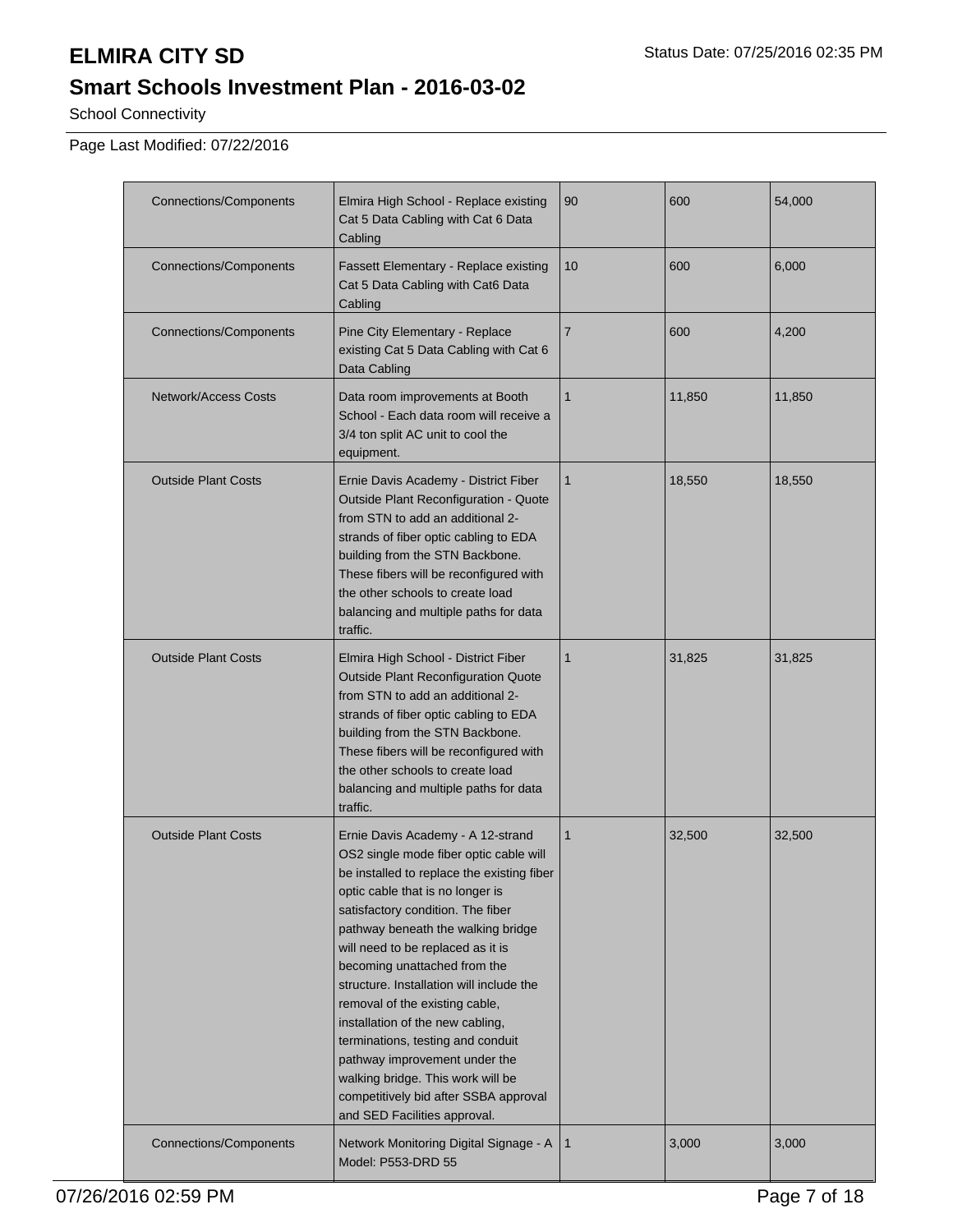# **ELMIRA CITY SD** Status Date: 07/25/2016 02:35 PM

# **Smart Schools Investment Plan - 2016-03-02**

School Connectivity

Page Last Modified: 07/22/2016

| <b>Connections/Components</b> | Elmira High School - Replace existing<br>Cat 5 Data Cabling with Cat 6 Data<br>Cabling                                                                                                                                                                                                                                                                                                                                                                                                                                                                                                                              | 90             | 600    | 54,000 |
|-------------------------------|---------------------------------------------------------------------------------------------------------------------------------------------------------------------------------------------------------------------------------------------------------------------------------------------------------------------------------------------------------------------------------------------------------------------------------------------------------------------------------------------------------------------------------------------------------------------------------------------------------------------|----------------|--------|--------|
| <b>Connections/Components</b> | <b>Fassett Elementary - Replace existing</b><br>Cat 5 Data Cabling with Cat6 Data<br>Cabling                                                                                                                                                                                                                                                                                                                                                                                                                                                                                                                        | 10             | 600    | 6,000  |
| <b>Connections/Components</b> | Pine City Elementary - Replace<br>existing Cat 5 Data Cabling with Cat 6<br>Data Cabling                                                                                                                                                                                                                                                                                                                                                                                                                                                                                                                            | $\overline{7}$ | 600    | 4,200  |
| <b>Network/Access Costs</b>   | Data room improvements at Booth<br>School - Each data room will receive a<br>3/4 ton split AC unit to cool the<br>equipment.                                                                                                                                                                                                                                                                                                                                                                                                                                                                                        | $\mathbf{1}$   | 11,850 | 11,850 |
| <b>Outside Plant Costs</b>    | Ernie Davis Academy - District Fiber<br>Outside Plant Reconfiguration - Quote<br>from STN to add an additional 2-<br>strands of fiber optic cabling to EDA<br>building from the STN Backbone.<br>These fibers will be reconfigured with<br>the other schools to create load<br>balancing and multiple paths for data<br>traffic.                                                                                                                                                                                                                                                                                    | $\mathbf{1}$   | 18,550 | 18,550 |
| <b>Outside Plant Costs</b>    | Elmira High School - District Fiber<br><b>Outside Plant Reconfiguration Quote</b><br>from STN to add an additional 2-<br>strands of fiber optic cabling to EDA<br>building from the STN Backbone.<br>These fibers will be reconfigured with<br>the other schools to create load<br>balancing and multiple paths for data<br>traffic.                                                                                                                                                                                                                                                                                | $\mathbf{1}$   | 31,825 | 31,825 |
| <b>Outside Plant Costs</b>    | Ernie Davis Academy - A 12-strand<br>OS2 single mode fiber optic cable will<br>be installed to replace the existing fiber<br>optic cable that is no longer is<br>satisfactory condition. The fiber<br>pathway beneath the walking bridge<br>will need to be replaced as it is<br>becoming unattached from the<br>structure. Installation will include the<br>removal of the existing cable,<br>installation of the new cabling,<br>terminations, testing and conduit<br>pathway improvement under the<br>walking bridge. This work will be<br>competitively bid after SSBA approval<br>and SED Facilities approval. | $\mathbf{1}$   | 32,500 | 32,500 |
| <b>Connections/Components</b> | Network Monitoring Digital Signage - A<br>Model: P553-DRD 55                                                                                                                                                                                                                                                                                                                                                                                                                                                                                                                                                        | $\mathbf{1}$   | 3,000  | 3,000  |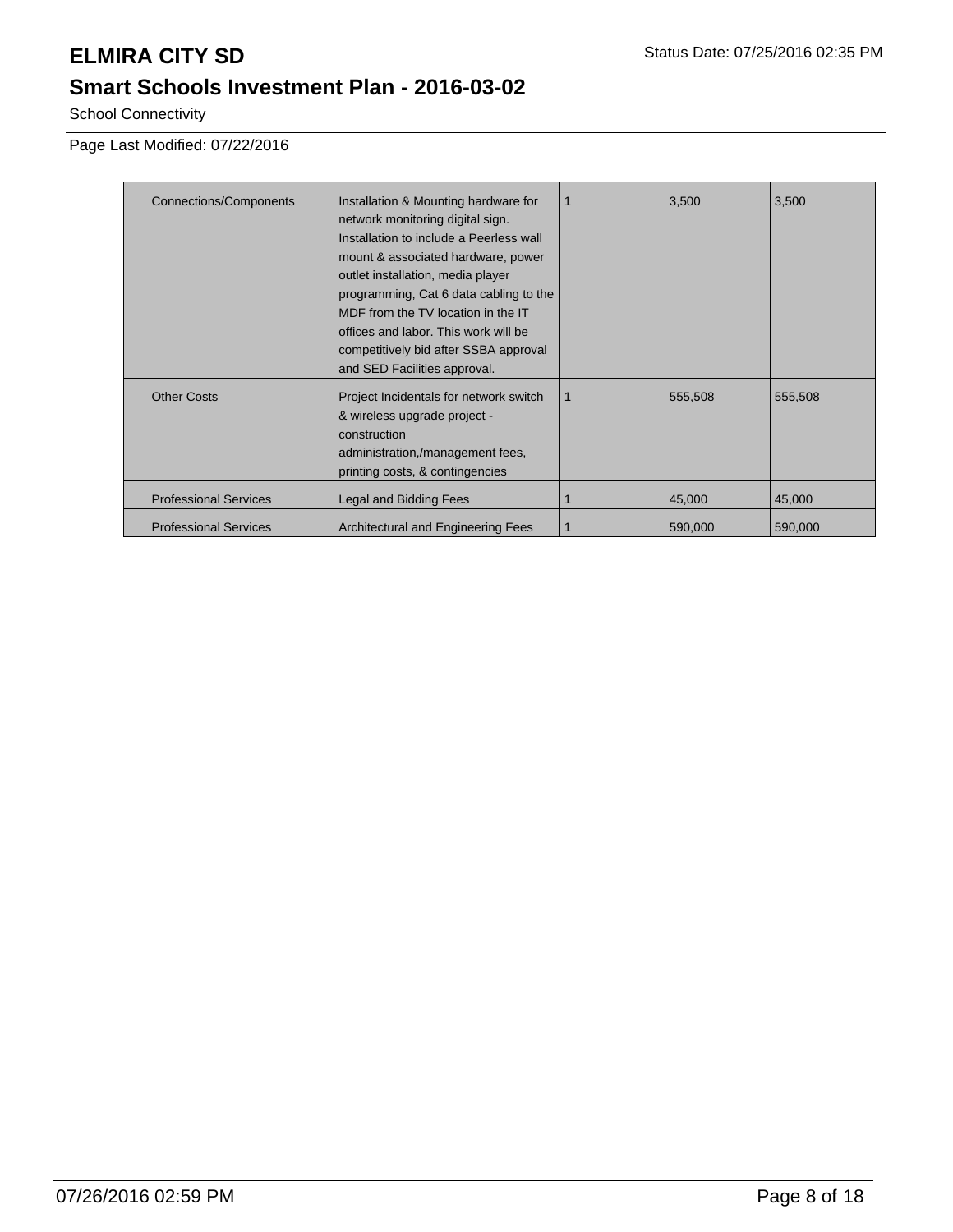School Connectivity

Page Last Modified: 07/22/2016

| <b>Connections/Components</b> | Installation & Mounting hardware for    |   | 3,500   | 3,500   |
|-------------------------------|-----------------------------------------|---|---------|---------|
|                               |                                         |   |         |         |
|                               | network monitoring digital sign.        |   |         |         |
|                               | Installation to include a Peerless wall |   |         |         |
|                               | mount & associated hardware, power      |   |         |         |
|                               | outlet installation, media player       |   |         |         |
|                               | programming, Cat 6 data cabling to the  |   |         |         |
|                               | MDF from the TV location in the IT      |   |         |         |
|                               | offices and labor. This work will be    |   |         |         |
|                               | competitively bid after SSBA approval   |   |         |         |
|                               | and SED Facilities approval.            |   |         |         |
| <b>Other Costs</b>            | Project Incidentals for network switch  | 1 | 555,508 | 555,508 |
|                               |                                         |   |         |         |
|                               | & wireless upgrade project -            |   |         |         |
|                               | construction                            |   |         |         |
|                               | administration,/management fees,        |   |         |         |
|                               | printing costs, & contingencies         |   |         |         |
| <b>Professional Services</b>  | Legal and Bidding Fees                  |   | 45,000  | 45,000  |
|                               |                                         |   |         |         |
| <b>Professional Services</b>  | Architectural and Engineering Fees      |   | 590,000 | 590,000 |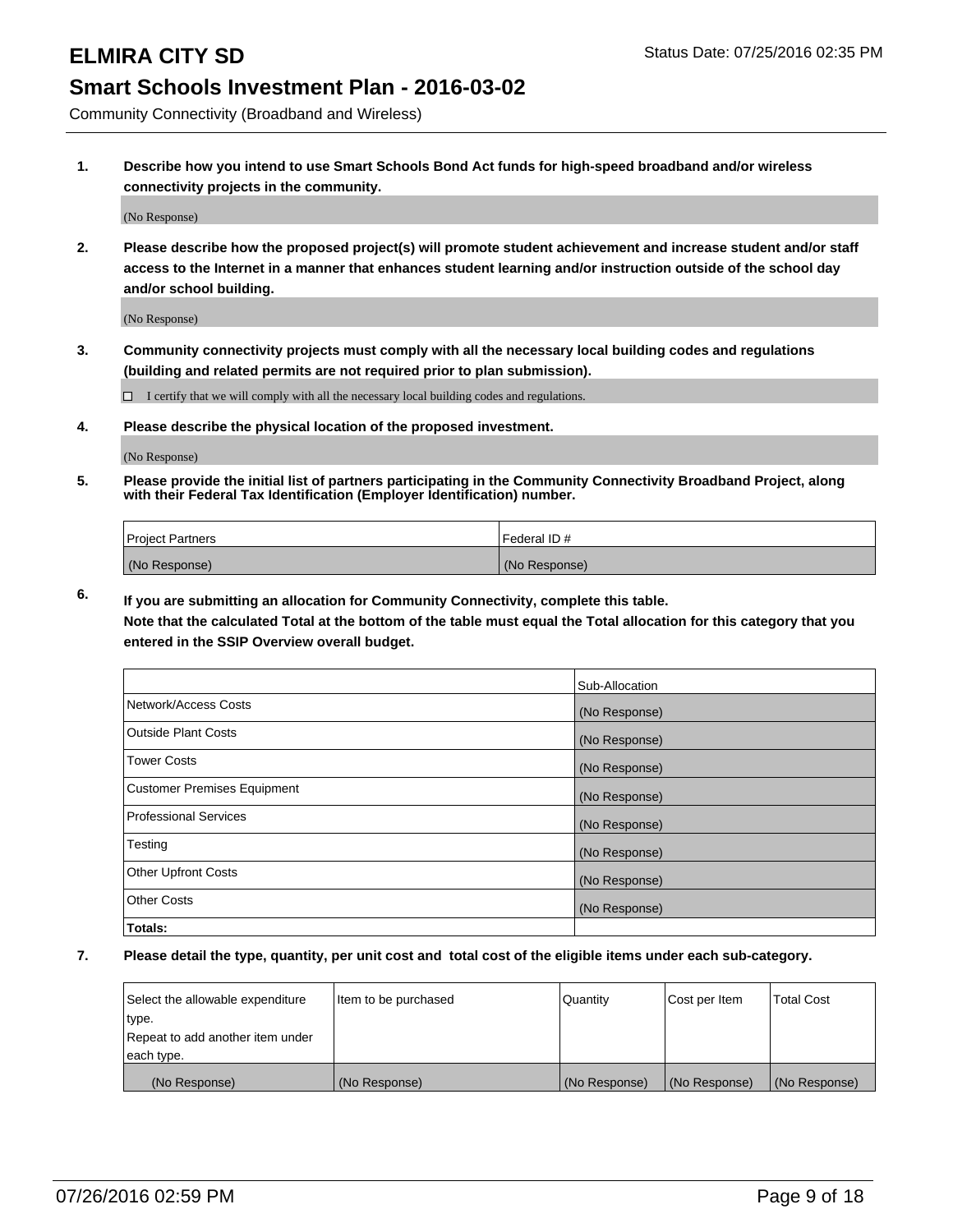Community Connectivity (Broadband and Wireless)

**1. Describe how you intend to use Smart Schools Bond Act funds for high-speed broadband and/or wireless connectivity projects in the community.**

(No Response)

**2. Please describe how the proposed project(s) will promote student achievement and increase student and/or staff access to the Internet in a manner that enhances student learning and/or instruction outside of the school day and/or school building.**

(No Response)

**3. Community connectivity projects must comply with all the necessary local building codes and regulations (building and related permits are not required prior to plan submission).**

 $\Box$  I certify that we will comply with all the necessary local building codes and regulations.

**4. Please describe the physical location of the proposed investment.**

(No Response)

**5. Please provide the initial list of partners participating in the Community Connectivity Broadband Project, along with their Federal Tax Identification (Employer Identification) number.**

| <b>Project Partners</b> | I Federal ID # |
|-------------------------|----------------|
| (No Response)           | (No Response)  |

**6. If you are submitting an allocation for Community Connectivity, complete this table.**

**Note that the calculated Total at the bottom of the table must equal the Total allocation for this category that you entered in the SSIP Overview overall budget.**

|                                    | Sub-Allocation |
|------------------------------------|----------------|
| Network/Access Costs               | (No Response)  |
| Outside Plant Costs                | (No Response)  |
| Tower Costs                        | (No Response)  |
| <b>Customer Premises Equipment</b> | (No Response)  |
| Professional Services              | (No Response)  |
| Testing                            | (No Response)  |
| <b>Other Upfront Costs</b>         | (No Response)  |
| Other Costs                        | (No Response)  |
| Totals:                            |                |

| Select the allowable expenditure | litem to be purchased | Quantity      | Cost per Item | <b>Total Cost</b> |
|----------------------------------|-----------------------|---------------|---------------|-------------------|
| type.                            |                       |               |               |                   |
| Repeat to add another item under |                       |               |               |                   |
| each type.                       |                       |               |               |                   |
| (No Response)                    | (No Response)         | (No Response) | (No Response) | (No Response)     |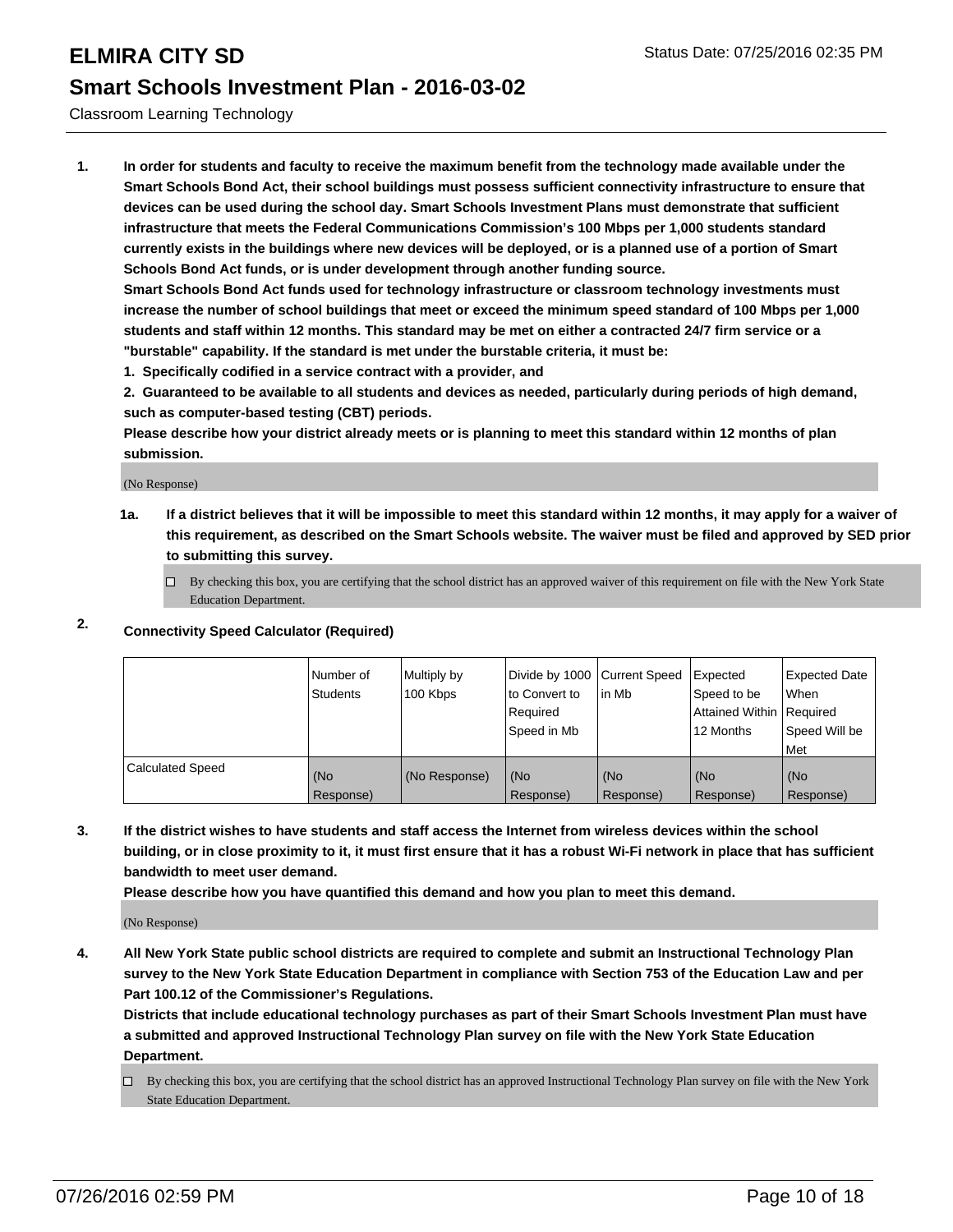Classroom Learning Technology

**1. In order for students and faculty to receive the maximum benefit from the technology made available under the Smart Schools Bond Act, their school buildings must possess sufficient connectivity infrastructure to ensure that devices can be used during the school day. Smart Schools Investment Plans must demonstrate that sufficient infrastructure that meets the Federal Communications Commission's 100 Mbps per 1,000 students standard currently exists in the buildings where new devices will be deployed, or is a planned use of a portion of Smart Schools Bond Act funds, or is under development through another funding source.**

**Smart Schools Bond Act funds used for technology infrastructure or classroom technology investments must increase the number of school buildings that meet or exceed the minimum speed standard of 100 Mbps per 1,000 students and staff within 12 months. This standard may be met on either a contracted 24/7 firm service or a "burstable" capability. If the standard is met under the burstable criteria, it must be:**

**1. Specifically codified in a service contract with a provider, and**

**2. Guaranteed to be available to all students and devices as needed, particularly during periods of high demand, such as computer-based testing (CBT) periods.**

**Please describe how your district already meets or is planning to meet this standard within 12 months of plan submission.**

(No Response)

**1a. If a district believes that it will be impossible to meet this standard within 12 months, it may apply for a waiver of this requirement, as described on the Smart Schools website. The waiver must be filed and approved by SED prior to submitting this survey.**

 $\Box$  By checking this box, you are certifying that the school district has an approved waiver of this requirement on file with the New York State Education Department.

### **2. Connectivity Speed Calculator (Required)**

|                  | Number of<br><b>Students</b> | Multiply by<br>100 Kbps | Divide by 1000 Current Speed<br>Ito Convert to<br>Required<br>Speed in Mb | lin Mb           | Expected<br>Speed to be<br>Attained Within Required<br>12 Months | Expected Date<br>l When<br>Speed Will be<br>l Met |
|------------------|------------------------------|-------------------------|---------------------------------------------------------------------------|------------------|------------------------------------------------------------------|---------------------------------------------------|
| Calculated Speed | (No<br>Response)             | (No Response)           | (No<br>Response)                                                          | (No<br>Response) | (No<br>Response)                                                 | (No<br>Response)                                  |

**3. If the district wishes to have students and staff access the Internet from wireless devices within the school building, or in close proximity to it, it must first ensure that it has a robust Wi-Fi network in place that has sufficient bandwidth to meet user demand.**

**Please describe how you have quantified this demand and how you plan to meet this demand.**

(No Response)

**4. All New York State public school districts are required to complete and submit an Instructional Technology Plan survey to the New York State Education Department in compliance with Section 753 of the Education Law and per Part 100.12 of the Commissioner's Regulations.**

**Districts that include educational technology purchases as part of their Smart Schools Investment Plan must have a submitted and approved Instructional Technology Plan survey on file with the New York State Education Department.**

 $\Box$  By checking this box, you are certifying that the school district has an approved Instructional Technology Plan survey on file with the New York State Education Department.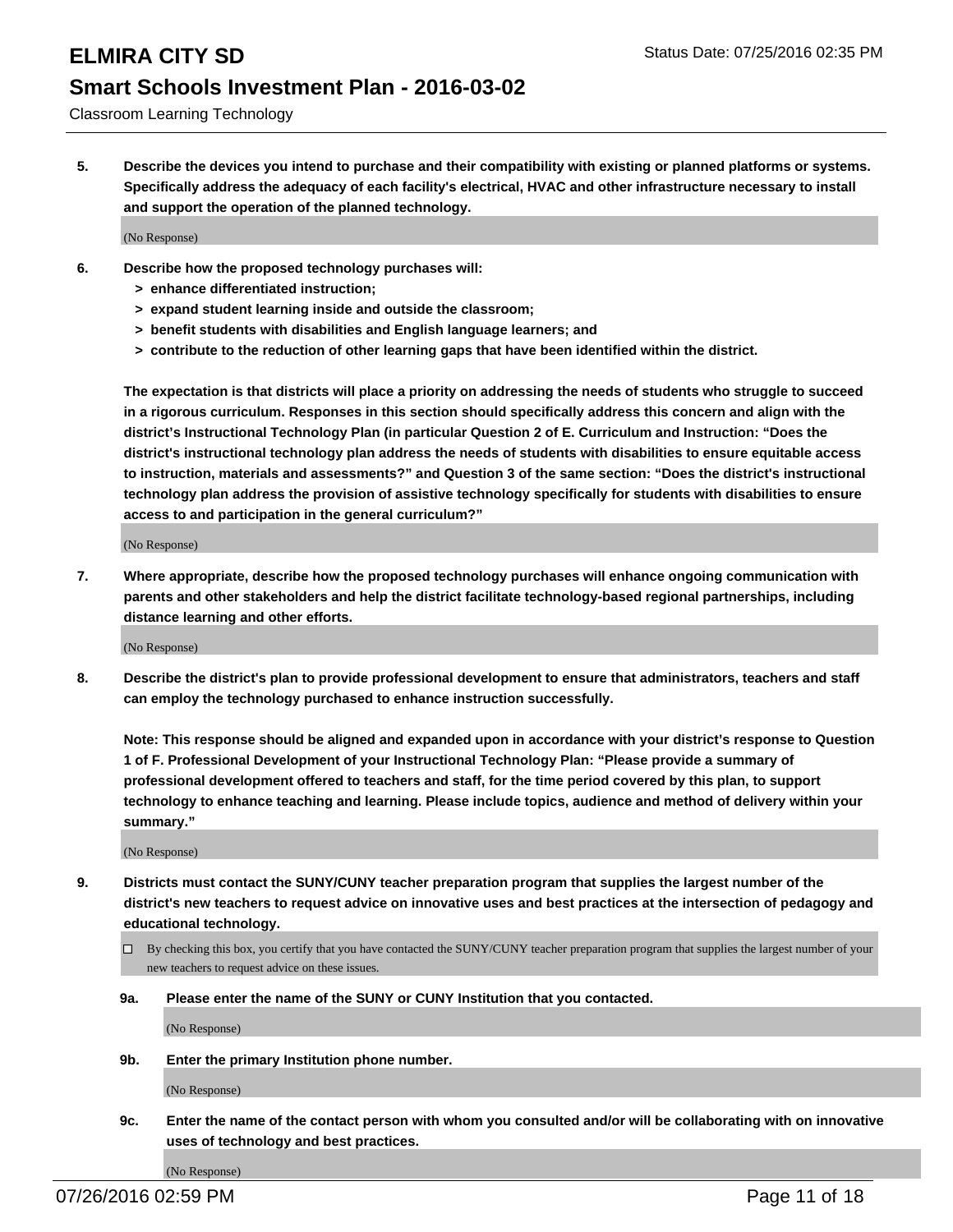Classroom Learning Technology

**5. Describe the devices you intend to purchase and their compatibility with existing or planned platforms or systems. Specifically address the adequacy of each facility's electrical, HVAC and other infrastructure necessary to install and support the operation of the planned technology.**

(No Response)

- **6. Describe how the proposed technology purchases will:**
	- **> enhance differentiated instruction;**
	- **> expand student learning inside and outside the classroom;**
	- **> benefit students with disabilities and English language learners; and**
	- **> contribute to the reduction of other learning gaps that have been identified within the district.**

**The expectation is that districts will place a priority on addressing the needs of students who struggle to succeed in a rigorous curriculum. Responses in this section should specifically address this concern and align with the district's Instructional Technology Plan (in particular Question 2 of E. Curriculum and Instruction: "Does the district's instructional technology plan address the needs of students with disabilities to ensure equitable access to instruction, materials and assessments?" and Question 3 of the same section: "Does the district's instructional technology plan address the provision of assistive technology specifically for students with disabilities to ensure access to and participation in the general curriculum?"**

(No Response)

**7. Where appropriate, describe how the proposed technology purchases will enhance ongoing communication with parents and other stakeholders and help the district facilitate technology-based regional partnerships, including distance learning and other efforts.**

(No Response)

**8. Describe the district's plan to provide professional development to ensure that administrators, teachers and staff can employ the technology purchased to enhance instruction successfully.**

**Note: This response should be aligned and expanded upon in accordance with your district's response to Question 1 of F. Professional Development of your Instructional Technology Plan: "Please provide a summary of professional development offered to teachers and staff, for the time period covered by this plan, to support technology to enhance teaching and learning. Please include topics, audience and method of delivery within your summary."**

(No Response)

- **9. Districts must contact the SUNY/CUNY teacher preparation program that supplies the largest number of the district's new teachers to request advice on innovative uses and best practices at the intersection of pedagogy and educational technology.**
	- $\square$  By checking this box, you certify that you have contacted the SUNY/CUNY teacher preparation program that supplies the largest number of your new teachers to request advice on these issues.
	- **9a. Please enter the name of the SUNY or CUNY Institution that you contacted.**

(No Response)

**9b. Enter the primary Institution phone number.**

(No Response)

**9c. Enter the name of the contact person with whom you consulted and/or will be collaborating with on innovative uses of technology and best practices.**

(No Response)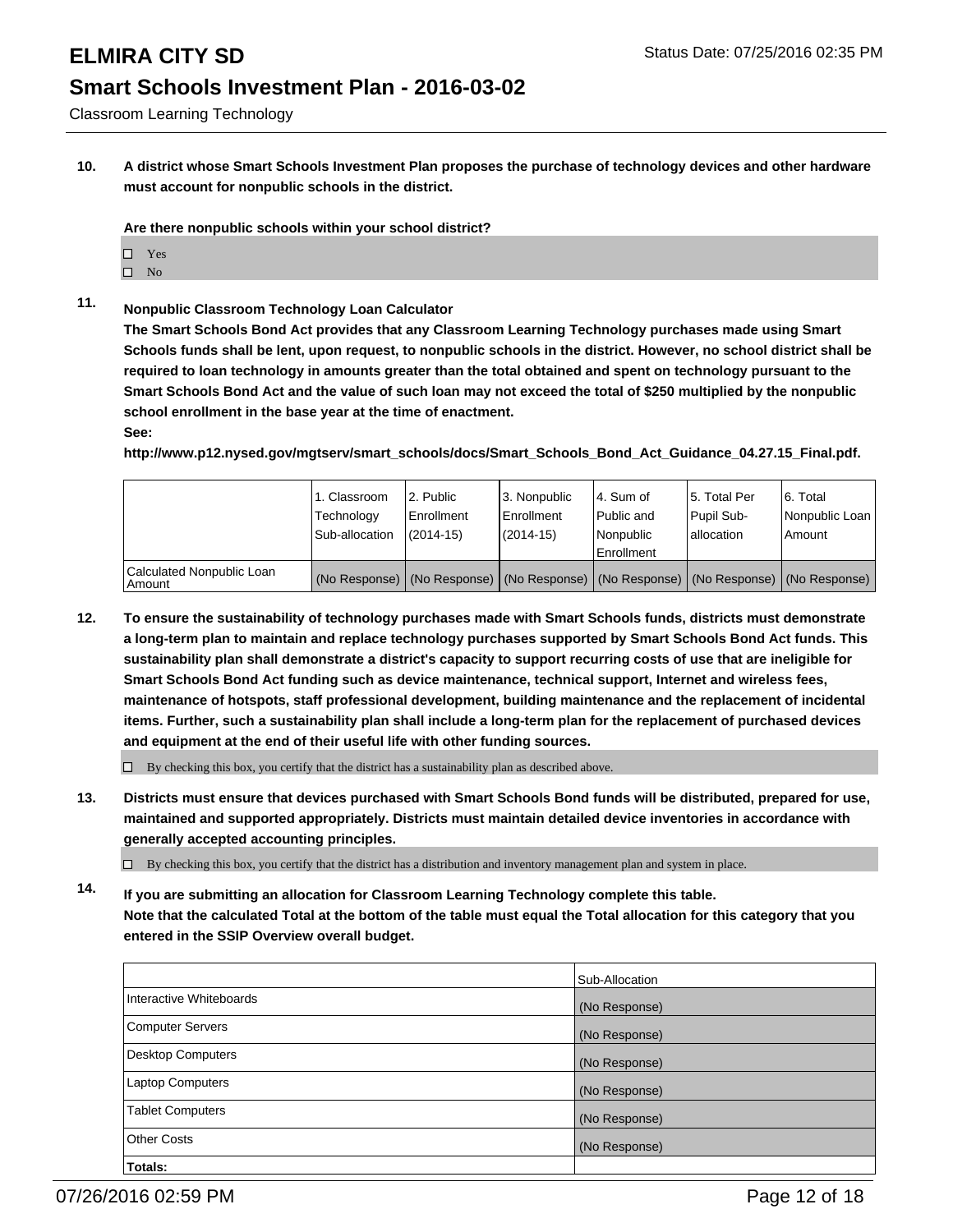Classroom Learning Technology

**10. A district whose Smart Schools Investment Plan proposes the purchase of technology devices and other hardware must account for nonpublic schools in the district.**

**Are there nonpublic schools within your school district?**

- $\Box$  Yes
- $\square$  No
- **11. Nonpublic Classroom Technology Loan Calculator**

**The Smart Schools Bond Act provides that any Classroom Learning Technology purchases made using Smart Schools funds shall be lent, upon request, to nonpublic schools in the district. However, no school district shall be required to loan technology in amounts greater than the total obtained and spent on technology pursuant to the Smart Schools Bond Act and the value of such loan may not exceed the total of \$250 multiplied by the nonpublic school enrollment in the base year at the time of enactment.**

### **See:**

**http://www.p12.nysed.gov/mgtserv/smart\_schools/docs/Smart\_Schools\_Bond\_Act\_Guidance\_04.27.15\_Final.pdf.**

|                                         | 1. Classroom<br>Technology<br>Sub-allocation | 2. Public<br>Enrollment<br>$(2014 - 15)$ | 3. Nonpublic<br>Enrollment<br>(2014-15) | l 4. Sum of<br>l Public and<br>l Nonpublic<br>Enrollment                                      | 15. Total Per<br>Pupil Sub-<br>Iallocation | 6. Total<br>Nonpublic Loan  <br>Amount |
|-----------------------------------------|----------------------------------------------|------------------------------------------|-----------------------------------------|-----------------------------------------------------------------------------------------------|--------------------------------------------|----------------------------------------|
| Calculated Nonpublic Loan<br>l Amount i |                                              |                                          |                                         | (No Response)   (No Response)   (No Response)   (No Response)   (No Response)   (No Response) |                                            |                                        |

**12. To ensure the sustainability of technology purchases made with Smart Schools funds, districts must demonstrate a long-term plan to maintain and replace technology purchases supported by Smart Schools Bond Act funds. This sustainability plan shall demonstrate a district's capacity to support recurring costs of use that are ineligible for Smart Schools Bond Act funding such as device maintenance, technical support, Internet and wireless fees, maintenance of hotspots, staff professional development, building maintenance and the replacement of incidental items. Further, such a sustainability plan shall include a long-term plan for the replacement of purchased devices and equipment at the end of their useful life with other funding sources.**

 $\square$  By checking this box, you certify that the district has a sustainability plan as described above.

**13. Districts must ensure that devices purchased with Smart Schools Bond funds will be distributed, prepared for use, maintained and supported appropriately. Districts must maintain detailed device inventories in accordance with generally accepted accounting principles.**

 $\Box$  By checking this box, you certify that the district has a distribution and inventory management plan and system in place.

**14. If you are submitting an allocation for Classroom Learning Technology complete this table. Note that the calculated Total at the bottom of the table must equal the Total allocation for this category that you entered in the SSIP Overview overall budget.**

|                          | Sub-Allocation |
|--------------------------|----------------|
| Interactive Whiteboards  | (No Response)  |
| <b>Computer Servers</b>  | (No Response)  |
| <b>Desktop Computers</b> | (No Response)  |
| <b>Laptop Computers</b>  | (No Response)  |
| <b>Tablet Computers</b>  | (No Response)  |
| <b>Other Costs</b>       | (No Response)  |
| Totals:                  |                |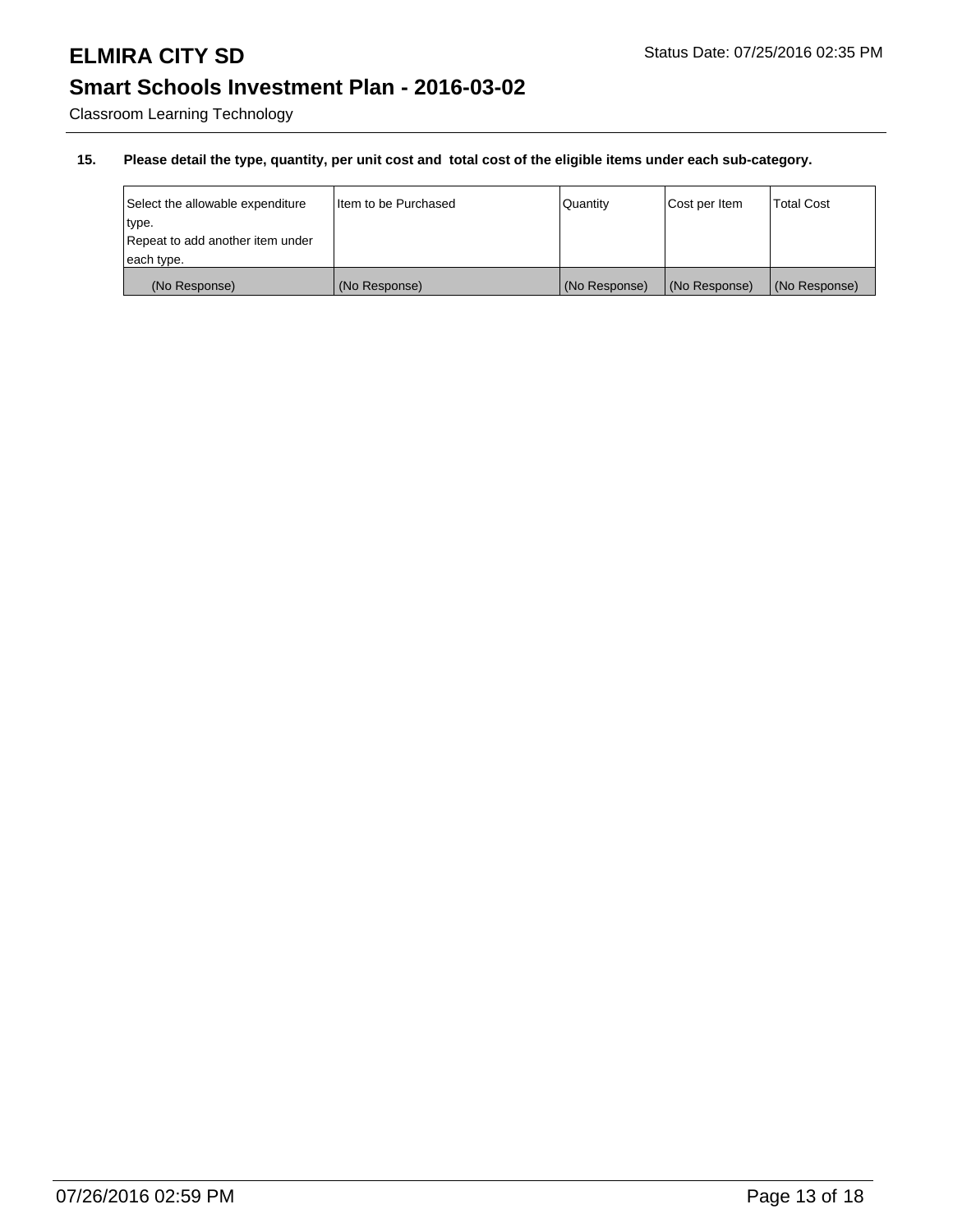Classroom Learning Technology

| Select the allowable expenditure | I Item to be Purchased | <b>Quantity</b> | Cost per Item | <b>Total Cost</b> |
|----------------------------------|------------------------|-----------------|---------------|-------------------|
| type.                            |                        |                 |               |                   |
| Repeat to add another item under |                        |                 |               |                   |
| each type.                       |                        |                 |               |                   |
| (No Response)                    | (No Response)          | (No Response)   | (No Response) | (No Response)     |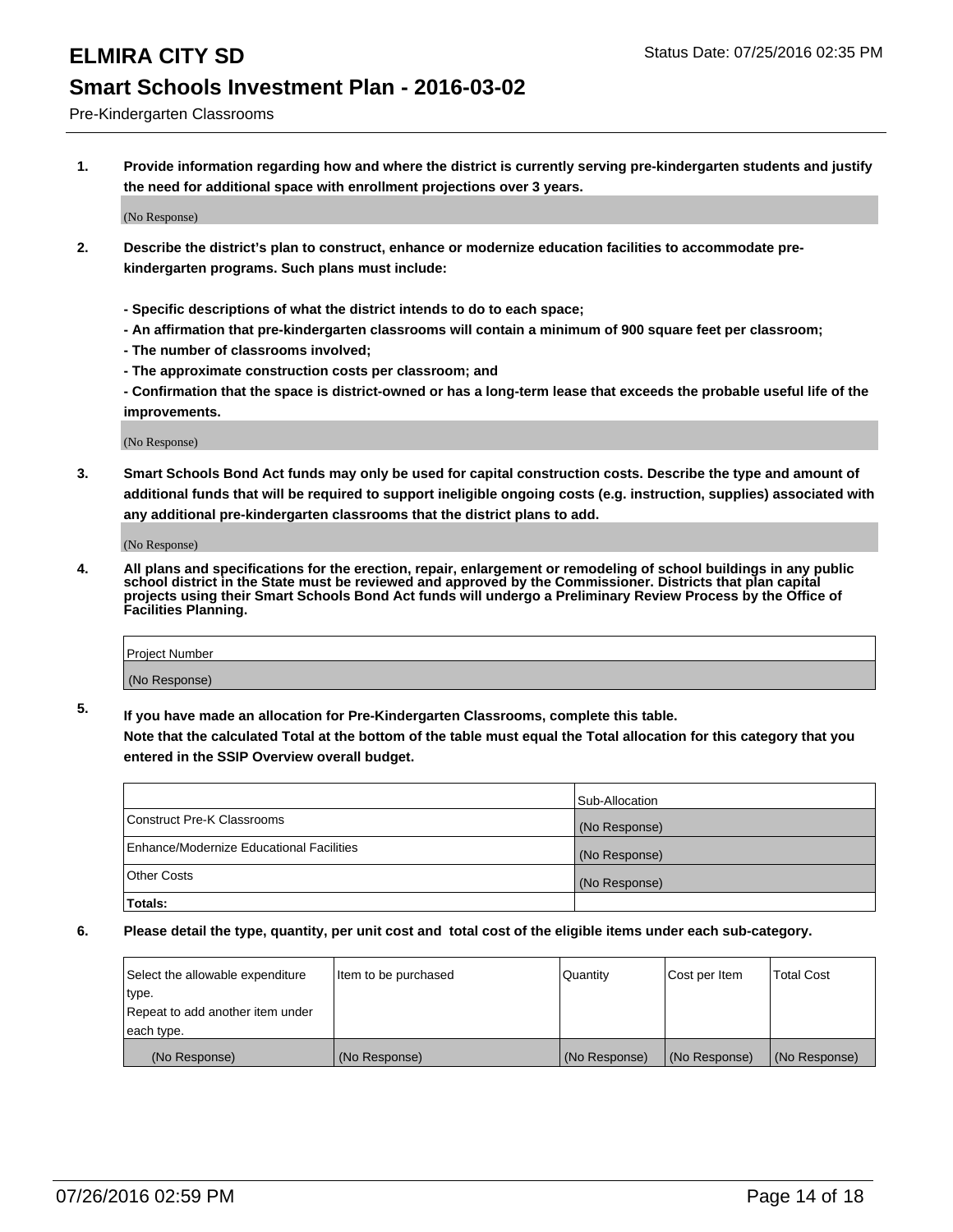Pre-Kindergarten Classrooms

**1. Provide information regarding how and where the district is currently serving pre-kindergarten students and justify the need for additional space with enrollment projections over 3 years.**

(No Response)

- **2. Describe the district's plan to construct, enhance or modernize education facilities to accommodate prekindergarten programs. Such plans must include:**
	- **Specific descriptions of what the district intends to do to each space;**
	- **An affirmation that pre-kindergarten classrooms will contain a minimum of 900 square feet per classroom;**
	- **The number of classrooms involved;**
	- **The approximate construction costs per classroom; and**
	- **Confirmation that the space is district-owned or has a long-term lease that exceeds the probable useful life of the improvements.**

(No Response)

**3. Smart Schools Bond Act funds may only be used for capital construction costs. Describe the type and amount of additional funds that will be required to support ineligible ongoing costs (e.g. instruction, supplies) associated with any additional pre-kindergarten classrooms that the district plans to add.**

(No Response)

**4. All plans and specifications for the erection, repair, enlargement or remodeling of school buildings in any public school district in the State must be reviewed and approved by the Commissioner. Districts that plan capital projects using their Smart Schools Bond Act funds will undergo a Preliminary Review Process by the Office of Facilities Planning.**

| Project Number |  |
|----------------|--|
| (No Response)  |  |

**5. If you have made an allocation for Pre-Kindergarten Classrooms, complete this table. Note that the calculated Total at the bottom of the table must equal the Total allocation for this category that you**

**entered in the SSIP Overview overall budget.**

|                                          | Sub-Allocation |
|------------------------------------------|----------------|
| Construct Pre-K Classrooms               | (No Response)  |
| Enhance/Modernize Educational Facilities | (No Response)  |
| Other Costs                              | (No Response)  |
| Totals:                                  |                |

| Select the allowable expenditure | Item to be purchased | Quantity      | Cost per Item | <b>Total Cost</b> |
|----------------------------------|----------------------|---------------|---------------|-------------------|
| type.                            |                      |               |               |                   |
| Repeat to add another item under |                      |               |               |                   |
| each type.                       |                      |               |               |                   |
| (No Response)                    | (No Response)        | (No Response) | (No Response) | (No Response)     |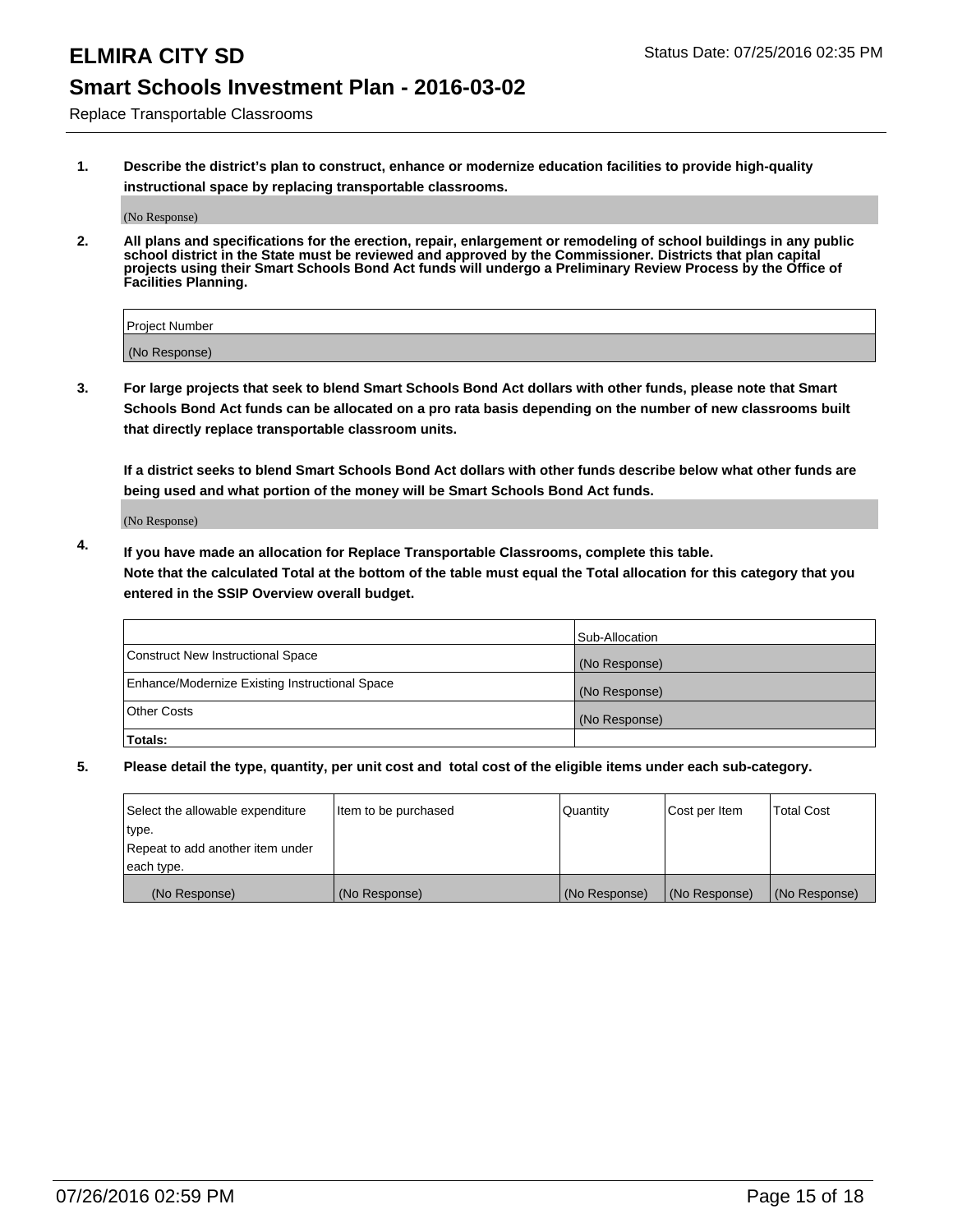# **ELMIRA CITY SD** Status Date: 07/25/2016 02:35 PM

## **Smart Schools Investment Plan - 2016-03-02**

Replace Transportable Classrooms

**1. Describe the district's plan to construct, enhance or modernize education facilities to provide high-quality instructional space by replacing transportable classrooms.**

(No Response)

**2. All plans and specifications for the erection, repair, enlargement or remodeling of school buildings in any public school district in the State must be reviewed and approved by the Commissioner. Districts that plan capital projects using their Smart Schools Bond Act funds will undergo a Preliminary Review Process by the Office of Facilities Planning.**

| Project Number |  |
|----------------|--|
| (No Response)  |  |

**3. For large projects that seek to blend Smart Schools Bond Act dollars with other funds, please note that Smart Schools Bond Act funds can be allocated on a pro rata basis depending on the number of new classrooms built that directly replace transportable classroom units.**

**If a district seeks to blend Smart Schools Bond Act dollars with other funds describe below what other funds are being used and what portion of the money will be Smart Schools Bond Act funds.**

(No Response)

**4. If you have made an allocation for Replace Transportable Classrooms, complete this table. Note that the calculated Total at the bottom of the table must equal the Total allocation for this category that you entered in the SSIP Overview overall budget.**

|                                                | Sub-Allocation |
|------------------------------------------------|----------------|
| Construct New Instructional Space              | (No Response)  |
| Enhance/Modernize Existing Instructional Space | (No Response)  |
| Other Costs                                    | (No Response)  |
| Totals:                                        |                |

| Select the allowable expenditure | Item to be purchased | Quantity      | Cost per Item | <b>Total Cost</b> |
|----------------------------------|----------------------|---------------|---------------|-------------------|
| type.                            |                      |               |               |                   |
| Repeat to add another item under |                      |               |               |                   |
| each type.                       |                      |               |               |                   |
| (No Response)                    | (No Response)        | (No Response) | (No Response) | (No Response)     |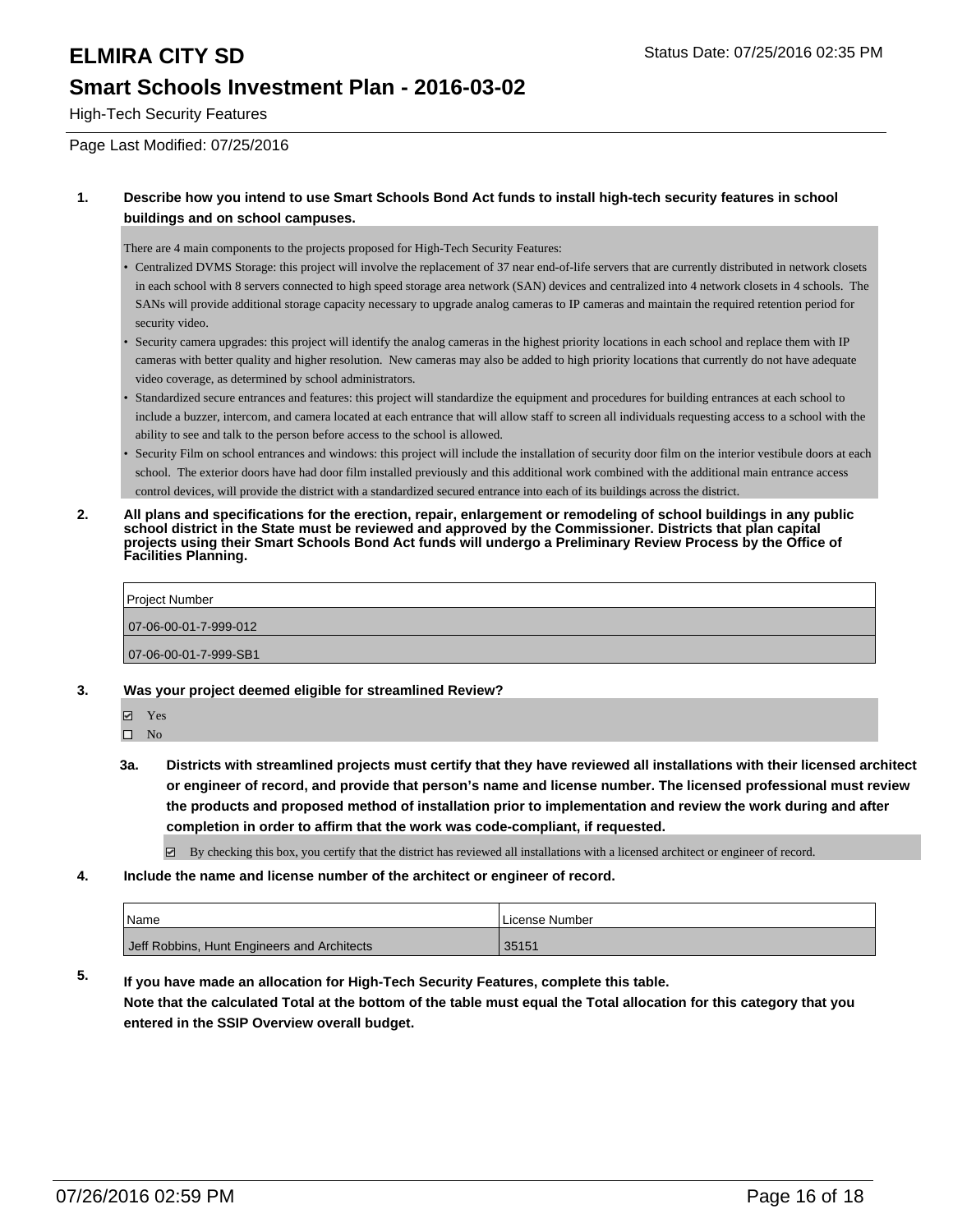High-Tech Security Features

Page Last Modified: 07/25/2016

### **1. Describe how you intend to use Smart Schools Bond Act funds to install high-tech security features in school buildings and on school campuses.**

There are 4 main components to the projects proposed for High-Tech Security Features:

- Centralized DVMS Storage: this project will involve the replacement of 37 near end-of-life servers that are currently distributed in network closets in each school with 8 servers connected to high speed storage area network (SAN) devices and centralized into 4 network closets in 4 schools. The SANs will provide additional storage capacity necessary to upgrade analog cameras to IP cameras and maintain the required retention period for security video.
- Security camera upgrades: this project will identify the analog cameras in the highest priority locations in each school and replace them with IP cameras with better quality and higher resolution. New cameras may also be added to high priority locations that currently do not have adequate video coverage, as determined by school administrators.
- Standardized secure entrances and features: this project will standardize the equipment and procedures for building entrances at each school to include a buzzer, intercom, and camera located at each entrance that will allow staff to screen all individuals requesting access to a school with the ability to see and talk to the person before access to the school is allowed. •
- Security Film on school entrances and windows: this project will include the installation of security door film on the interior vestibule doors at each school. The exterior doors have had door film installed previously and this additional work combined with the additional main entrance access control devices, will provide the district with a standardized secured entrance into each of its buildings across the district.
- **2. All plans and specifications for the erection, repair, enlargement or remodeling of school buildings in any public school district in the State must be reviewed and approved by the Commissioner. Districts that plan capital projects using their Smart Schools Bond Act funds will undergo a Preliminary Review Process by the Office of Facilities Planning.**

| Project Number        |  |  |
|-----------------------|--|--|
| 07-06-00-01-7-999-012 |  |  |
| 07-06-00-01-7-999-SB1 |  |  |

- **3. Was your project deemed eligible for streamlined Review?**
	- **Ø** Yes
	- $\square$  No
	- **3a. Districts with streamlined projects must certify that they have reviewed all installations with their licensed architect or engineer of record, and provide that person's name and license number. The licensed professional must review the products and proposed method of installation prior to implementation and review the work during and after completion in order to affirm that the work was code-compliant, if requested.**
		- By checking this box, you certify that the district has reviewed all installations with a licensed architect or engineer of record.
- **4. Include the name and license number of the architect or engineer of record.**

| <sup>1</sup> Name                           | License Number |
|---------------------------------------------|----------------|
| Jeff Robbins, Hunt Engineers and Architects | 35151          |

**5. If you have made an allocation for High-Tech Security Features, complete this table. Note that the calculated Total at the bottom of the table must equal the Total allocation for this category that you entered in the SSIP Overview overall budget.**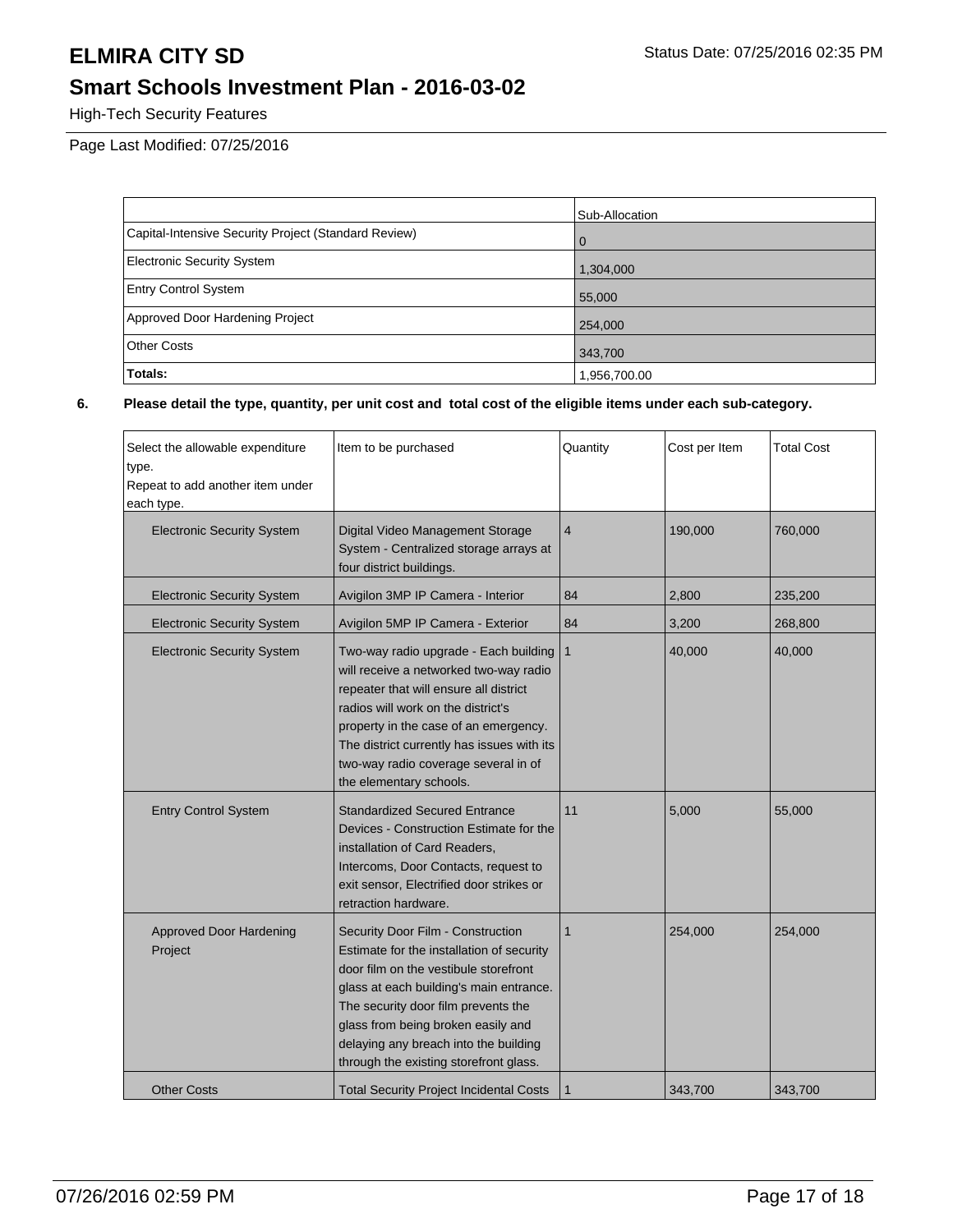High-Tech Security Features

Page Last Modified: 07/25/2016

|                                                      | Sub-Allocation |
|------------------------------------------------------|----------------|
| Capital-Intensive Security Project (Standard Review) | $\overline{0}$ |
| <b>Electronic Security System</b>                    | 1,304,000      |
| <b>Entry Control System</b>                          | 55,000         |
| Approved Door Hardening Project                      | 254,000        |
| <b>Other Costs</b>                                   | 343,700        |
| Totals:                                              | 1,956,700.00   |

| Select the allowable expenditure<br>type.<br>Repeat to add another item under<br>each type. | Item to be purchased                                                                                                                                                                                                                                                                                                               | Quantity       | Cost per Item | <b>Total Cost</b> |
|---------------------------------------------------------------------------------------------|------------------------------------------------------------------------------------------------------------------------------------------------------------------------------------------------------------------------------------------------------------------------------------------------------------------------------------|----------------|---------------|-------------------|
| <b>Electronic Security System</b>                                                           | Digital Video Management Storage<br>System - Centralized storage arrays at<br>four district buildings.                                                                                                                                                                                                                             | $\overline{4}$ | 190,000       | 760,000           |
| <b>Electronic Security System</b>                                                           | Avigilon 3MP IP Camera - Interior                                                                                                                                                                                                                                                                                                  | 84             | 2,800         | 235,200           |
| <b>Electronic Security System</b>                                                           | Avigilon 5MP IP Camera - Exterior                                                                                                                                                                                                                                                                                                  | 84             | 3,200         | 268,800           |
| <b>Electronic Security System</b>                                                           | Two-way radio upgrade - Each building<br>will receive a networked two-way radio<br>repeater that will ensure all district<br>radios will work on the district's<br>property in the case of an emergency.<br>The district currently has issues with its<br>two-way radio coverage several in of<br>the elementary schools.          | $\mathbf{1}$   | 40,000        | 40,000            |
| <b>Entry Control System</b>                                                                 | <b>Standardized Secured Entrance</b><br>Devices - Construction Estimate for the<br>installation of Card Readers,<br>Intercoms, Door Contacts, request to<br>exit sensor, Electrified door strikes or<br>retraction hardware.                                                                                                       | 11             | 5,000         | 55,000            |
| <b>Approved Door Hardening</b><br>Project                                                   | Security Door Film - Construction<br>Estimate for the installation of security<br>door film on the vestibule storefront<br>glass at each building's main entrance.<br>The security door film prevents the<br>glass from being broken easily and<br>delaying any breach into the building<br>through the existing storefront glass. | $\mathbf{1}$   | 254,000       | 254,000           |
| <b>Other Costs</b>                                                                          | <b>Total Security Project Incidental Costs</b>                                                                                                                                                                                                                                                                                     | $\mathbf 1$    | 343,700       | 343,700           |